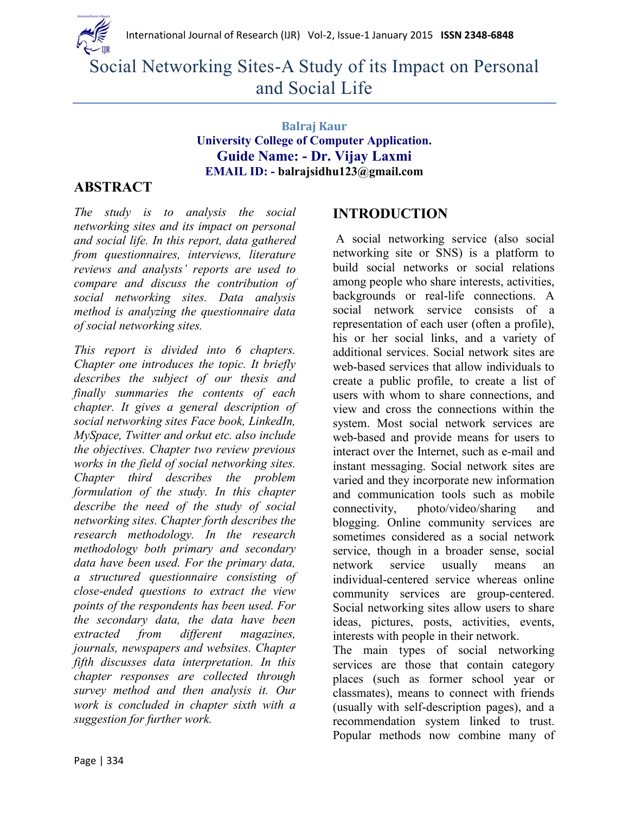

Social Networking Sites-A Study of its Impact on Personal and Social Life

### **Balraj Kaur University College of Computer Application. Guide Name: - Dr. Vijay Laxmi EMAIL ID: - balrajsidhu123@gmail.com**

## **ABSTRACT**

*The study is to analysis the social networking sites and its impact on personal and social life. In this report, data gathered from questionnaires, interviews, literature reviews and analysts' reports are used to compare and discuss the contribution of social networking sites. Data analysis method is analyzing the questionnaire data of social networking sites.*

*This report is divided into 6 chapters. Chapter one introduces the topic. It briefly describes the subject of our thesis and finally summaries the contents of each chapter. It gives a general description of social networking sites Face book, LinkedIn, MySpace, Twitter and orkut etc. also include the objectives. Chapter two review previous works in the field of social networking sites. Chapter third describes the problem formulation of the study. In this chapter describe the need of the study of social networking sites. Chapter forth describes the research methodology. In the research methodology both primary and secondary data have been used. For the primary data, a structured questionnaire consisting of close-ended questions to extract the view points of the respondents has been used. For the secondary data, the data have been extracted from different magazines, journals, newspapers and websites. Chapter fifth discusses data interpretation. In this chapter responses are collected through survey method and then analysis it. Our work is concluded in chapter sixth with a suggestion for further work.*

## **INTRODUCTION**

A social networking service (also social networking site or SNS) is a platform to build social networks or social relations among people who share interests, activities, backgrounds or real-life connections. A social network service consists of a representation of each user (often a profile), his or her social links, and a variety of additional services. Social network sites are web-based services that allow individuals to create a public profile, to create a list of users with whom to share connections, and view and cross the connections within the system. Most social network services are web-based and provide means for users to interact over the Internet, such as e-mail and instant messaging. Social network sites are varied and they incorporate new information and communication tools such as mobile connectivity, photo/video/sharing and blogging. Online community services are sometimes considered as a social network service, though in a broader sense, social network service usually means an individual-centered service whereas online community services are group-centered. Social networking sites allow users to share ideas, pictures, posts, activities, events, interests with people in their network.

The main types of social networking services are those that contain category places (such as former school year or classmates), means to connect with friends (usually with self-description pages), and a recommendation system linked to trust. Popular methods now combine many of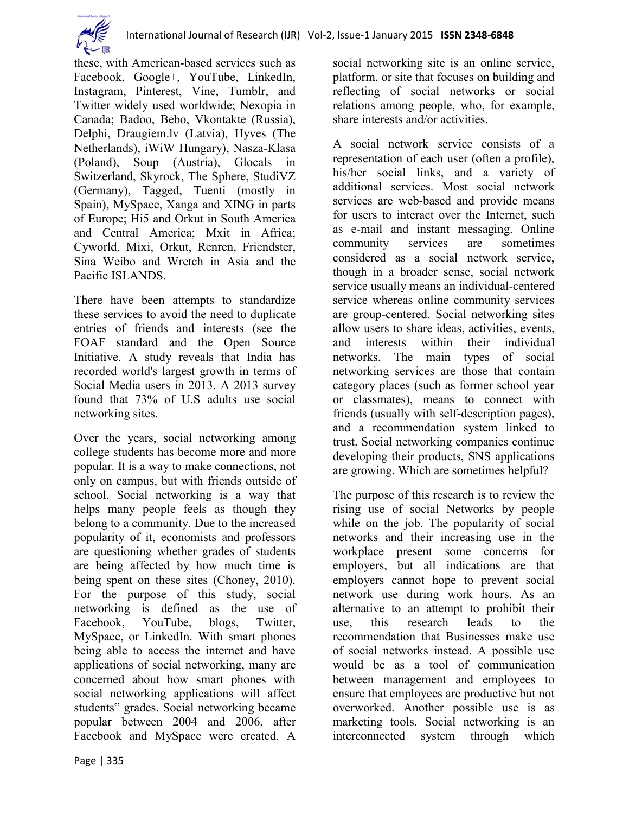

these, with American-based services such as Facebook, Google+, YouTube, LinkedIn, Instagram, Pinterest, Vine, Tumblr, and Twitter widely used worldwide; Nexopia in Canada; Badoo, Bebo, Vkontakte (Russia), Delphi, Draugiem.lv (Latvia), Hyves (The Netherlands), iWiW Hungary), Nasza-Klasa (Poland), Soup (Austria), Glocals in Switzerland, Skyrock, The Sphere, StudiVZ (Germany), Tagged, Tuenti (mostly in Spain), MySpace, Xanga and XING in parts of Europe; Hi5 and Orkut in South America and Central America; Mxit in Africa; Cyworld, Mixi, Orkut, Renren, Friendster, Sina Weibo and Wretch in Asia and the Pacific ISLANDS.

There have been attempts to standardize these services to avoid the need to duplicate entries of friends and interests (see the FOAF standard and the Open Source Initiative. A study reveals that India has recorded world's largest growth in terms of Social Media users in 2013. A 2013 survey found that 73% of U.S adults use social networking sites.

Over the years, social networking among college students has become more and more popular. It is a way to make connections, not only on campus, but with friends outside of school. Social networking is a way that helps many people feels as though they belong to a community. Due to the increased popularity of it, economists and professors are questioning whether grades of students are being affected by how much time is being spent on these sites (Choney, 2010). For the purpose of this study, social networking is defined as the use of Facebook, YouTube, blogs, Twitter, MySpace, or LinkedIn. With smart phones being able to access the internet and have applications of social networking, many are concerned about how smart phones with social networking applications will affect students" grades. Social networking became popular between 2004 and 2006, after Facebook and MySpace were created. A

social networking site is an online service, platform, or site that focuses on building and reflecting of social networks or social relations among people, who, for example, share interests and/or activities.

A social network service consists of a representation of each user (often a profile), his/her social links, and a variety of additional services. Most social network services are web-based and provide means for users to interact over the Internet, such as e-mail and instant messaging. Online community services are sometimes considered as a social network service, though in a broader sense, social network service usually means an individual-centered service whereas online community services are group-centered. Social networking sites allow users to share ideas, activities, events, and interests within their individual networks. The main types of social networking services are those that contain category places (such as former school year or classmates), means to connect with friends (usually with self-description pages), and a recommendation system linked to trust. Social networking companies continue developing their products, SNS applications are growing. Which are sometimes helpful?

The purpose of this research is to review the rising use of social Networks by people while on the job. The popularity of social networks and their increasing use in the workplace present some concerns for employers, but all indications are that employers cannot hope to prevent social network use during work hours. As an alternative to an attempt to prohibit their use, this research leads to the recommendation that Businesses make use of social networks instead. A possible use would be as a tool of communication between management and employees to ensure that employees are productive but not overworked. Another possible use is as marketing tools. Social networking is an interconnected system through which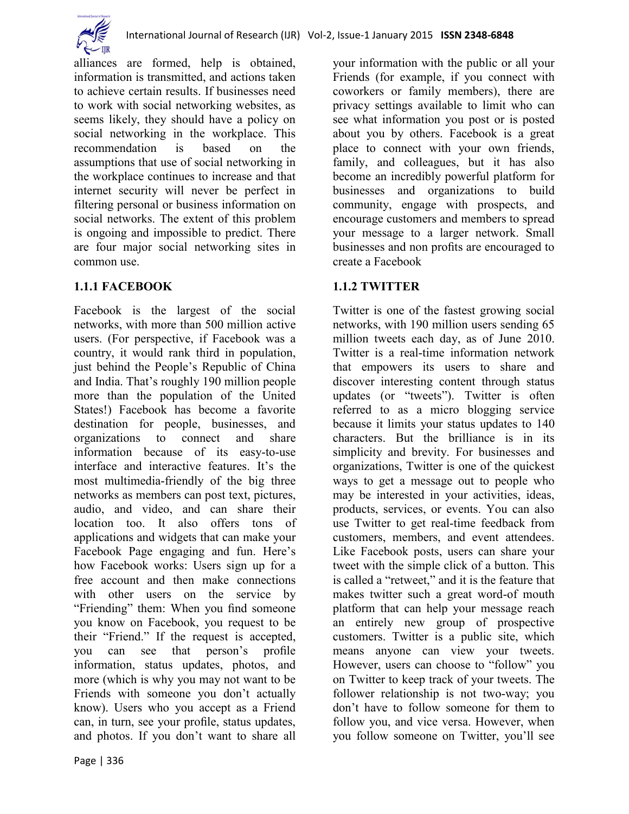

alliances are formed, help is obtained, information is transmitted, and actions taken to achieve certain results. If businesses need to work with social networking websites, as seems likely, they should have a policy on social networking in the workplace. This recommendation is based on the assumptions that use of social networking in the workplace continues to increase and that internet security will never be perfect in filtering personal or business information on social networks. The extent of this problem is ongoing and impossible to predict. There are four major social networking sites in common use.

### **1.1.1 FACEBOOK**

Facebook is the largest of the social networks, with more than 500 million active users. (For perspective, if Facebook was a country, it would rank third in population, just behind the People's Republic of China and India. That's roughly 190 million people more than the population of the United States!) Facebook has become a favorite destination for people, businesses, and organizations to connect and share information because of its easy-to-use interface and interactive features. It's the most multimedia-friendly of the big three networks as members can post text, pictures, audio, and video, and can share their location too. It also offers tons of applications and widgets that can make your Facebook Page engaging and fun. Here's how Facebook works: Users sign up for a free account and then make connections with other users on the service by "Friending" them: When you find someone you know on Facebook, you request to be their "Friend." If the request is accepted, you can see that person's profile information, status updates, photos, and more (which is why you may not want to be Friends with someone you don't actually know). Users who you accept as a Friend can, in turn, see your profile, status updates, and photos. If you don't want to share all

your information with the public or all your Friends (for example, if you connect with coworkers or family members), there are privacy settings available to limit who can see what information you post or is posted about you by others. Facebook is a great place to connect with your own friends, family, and colleagues, but it has also become an incredibly powerful platform for businesses and organizations to build community, engage with prospects, and encourage customers and members to spread your message to a larger network. Small businesses and non profits are encouraged to create a Facebook

## **1.1.2 TWITTER**

Twitter is one of the fastest growing social networks, with 190 million users sending 65 million tweets each day, as of June 2010. Twitter is a real-time information network that empowers its users to share and discover interesting content through status updates (or "tweets"). Twitter is often referred to as a micro blogging service because it limits your status updates to 140 characters. But the brilliance is in its simplicity and brevity. For businesses and organizations, Twitter is one of the quickest ways to get a message out to people who may be interested in your activities, ideas, products, services, or events. You can also use Twitter to get real-time feedback from customers, members, and event attendees. Like Facebook posts, users can share your tweet with the simple click of a button. This is called a "retweet," and it is the feature that makes twitter such a great word-of mouth platform that can help your message reach an entirely new group of prospective customers. Twitter is a public site, which means anyone can view your tweets. However, users can choose to "follow" you on Twitter to keep track of your tweets. The follower relationship is not two-way; you don't have to follow someone for them to follow you, and vice versa. However, when you follow someone on Twitter, you'll see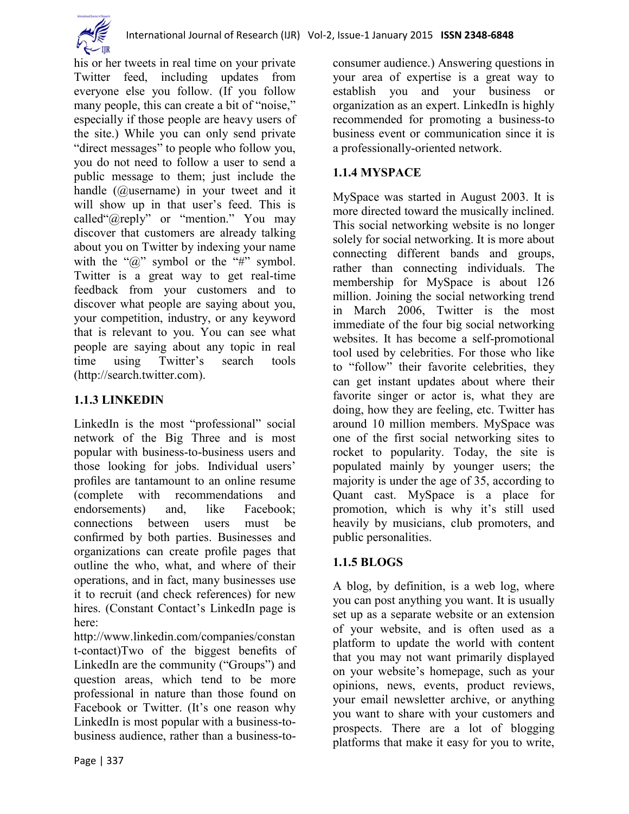

his or her tweets in real time on your private Twitter feed, including updates from everyone else you follow. (If you follow many people, this can create a bit of "noise," especially if those people are heavy users of the site.) While you can only send private "direct messages" to people who follow you, you do not need to follow a user to send a public message to them; just include the handle (@username) in your tweet and it will show up in that user's feed. This is called " $@$ reply" or "mention." You may discover that customers are already talking about you on Twitter by indexing your name with the " $\hat{a}$ " symbol or the "#" symbol. Twitter is a great way to get real-time feedback from your customers and to discover what people are saying about you, your competition, industry, or any keyword that is relevant to you. You can see what people are saying about any topic in real time using Twitter's search tools (http://search.twitter.com).

### **1.1.3 LINKEDIN**

LinkedIn is the most "professional" social network of the Big Three and is most popular with business-to-business users and those looking for jobs. Individual users' profiles are tantamount to an online resume (complete with recommendations and endorsements) and, like Facebook; connections between users must be confirmed by both parties. Businesses and organizations can create profile pages that outline the who, what, and where of their operations, and in fact, many businesses use it to recruit (and check references) for new hires. (Constant Contact's LinkedIn page is here:

http://www.linkedin.com/companies/constan t-contact)Two of the biggest benefits of LinkedIn are the community ("Groups") and question areas, which tend to be more professional in nature than those found on Facebook or Twitter. (It's one reason why LinkedIn is most popular with a business-tobusiness audience, rather than a business-toconsumer audience.) Answering questions in your area of expertise is a great way to establish you and your business or organization as an expert. LinkedIn is highly recommended for promoting a business-to business event or communication since it is a professionally-oriented network.

### **1.1.4 MYSPACE**

MySpace was started in August 2003. It is more directed toward the musically inclined. This social networking website is no longer solely for social networking. It is more about connecting different bands and groups, rather than connecting individuals. The membership for MySpace is about 126 million. Joining the social networking trend in March 2006, Twitter is the most immediate of the four big social networking websites. It has become a self-promotional tool used by celebrities. For those who like to "follow" their favorite celebrities, they can get instant updates about where their favorite singer or actor is, what they are doing, how they are feeling, etc. Twitter has around 10 million members. MySpace was one of the first social networking sites to rocket to popularity. Today, the site is populated mainly by younger users; the majority is under the age of 35, according to Quant cast. MySpace is a place for promotion, which is why it's still used heavily by musicians, club promoters, and public personalities.

#### **1.1.5 BLOGS**

A blog, by definition, is a web log, where you can post anything you want. It is usually set up as a separate website or an extension of your website, and is often used as a platform to update the world with content that you may not want primarily displayed on your website's homepage, such as your opinions, news, events, product reviews, your email newsletter archive, or anything you want to share with your customers and prospects. There are a lot of blogging platforms that make it easy for you to write,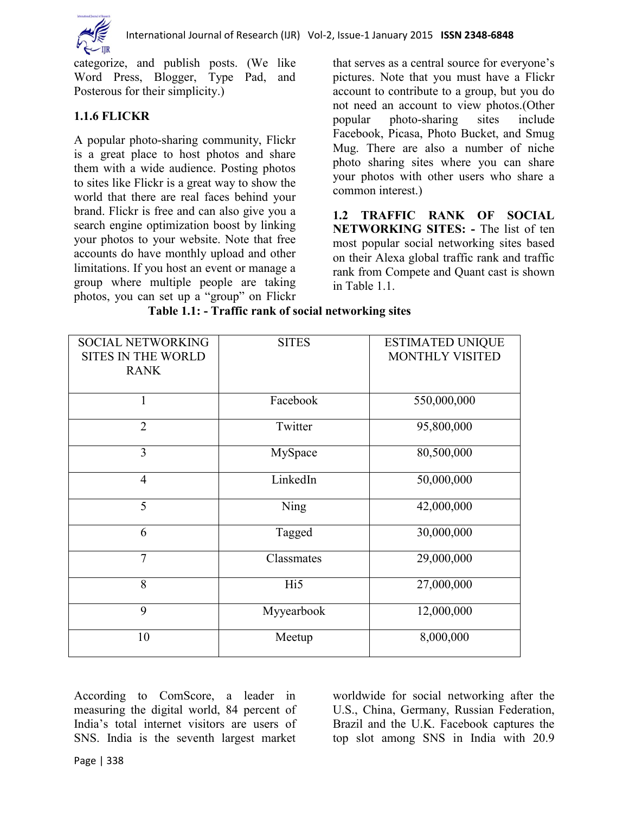

categorize, and publish posts. (We like Word Press, Blogger, Type Pad, and Posterous for their simplicity.)

#### **1.1.6 FLICKR**

A popular photo-sharing community, Flickr is a great place to host photos and share them with a wide audience. Posting photos to sites like Flickr is a great way to show the world that there are real faces behind your brand. Flickr is free and can also give you a search engine optimization boost by linking your photos to your website. Note that free accounts do have monthly upload and other limitations. If you host an event or manage a group where multiple people are taking photos, you can set up a "group" on Flickr

that serves as a central source for everyone's pictures. Note that you must have a Flickr account to contribute to a group, but you do not need an account to view photos.(Other popular photo-sharing sites include Facebook, Picasa, Photo Bucket, and Smug Mug. There are also a number of niche photo sharing sites where you can share your photos with other users who share a common interest.)

**1.2 TRAFFIC RANK OF SOCIAL NETWORKING SITES: -** The list of ten most popular social networking sites based on their Alexa global traffic rank and traffic rank from Compete and Quant cast is shown in Table 1.1.

| <b>SOCIAL NETWORKING</b><br><b>SITES IN THE WORLD</b><br><b>RANK</b> | <b>SITES</b>    | <b>ESTIMATED UNIQUE</b><br>MONTHLY VISITED |
|----------------------------------------------------------------------|-----------------|--------------------------------------------|
| $\mathbf{1}$                                                         | Facebook        | 550,000,000                                |
| $\overline{2}$                                                       | Twitter         | 95,800,000                                 |
| 3                                                                    | MySpace         | 80,500,000                                 |
| $\overline{4}$                                                       | LinkedIn        | 50,000,000                                 |
| 5                                                                    | Ning            | 42,000,000                                 |
| 6                                                                    | Tagged          | 30,000,000                                 |
| $\overline{7}$                                                       | Classmates      | 29,000,000                                 |
| 8                                                                    | Hi <sub>5</sub> | 27,000,000                                 |
| 9                                                                    | Myyearbook      | 12,000,000                                 |
| 10                                                                   | Meetup          | 8,000,000                                  |

**Table 1.1: - Traffic rank of social networking sites**

According to ComScore, a leader in measuring the digital world, 84 percent of India's total internet visitors are users of SNS. India is the seventh largest market worldwide for social networking after the U.S., China, Germany, Russian Federation, Brazil and the U.K. Facebook captures the top slot among SNS in India with 20.9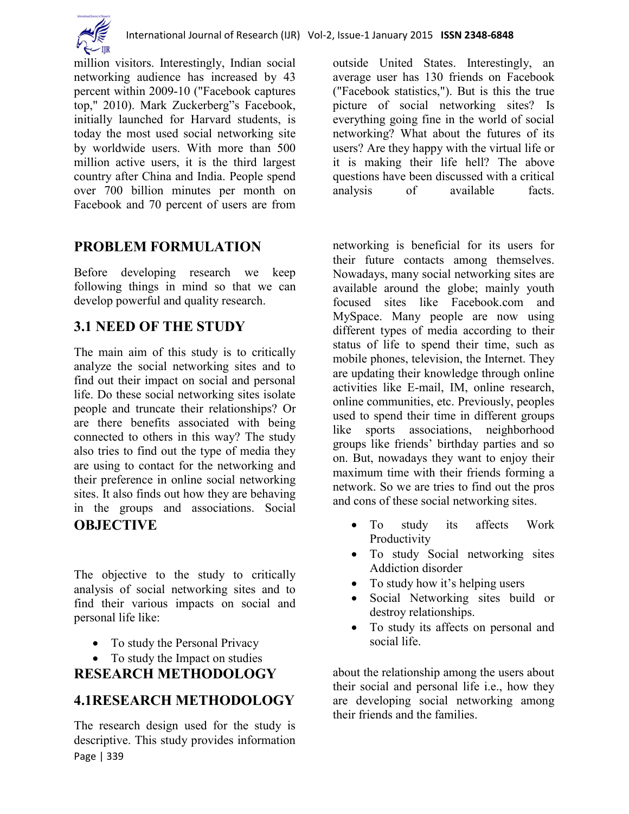

million visitors. Interestingly, Indian social networking audience has increased by 43 percent within 2009-10 ("Facebook captures top," 2010). Mark Zuckerberg"s Facebook, initially launched for Harvard students, is today the most used social networking site by worldwide users. With more than 500 million active users, it is the third largest country after China and India. People spend over 700 billion minutes per month on Facebook and 70 percent of users are from

# **PROBLEM FORMULATION**

Before developing research we keep following things in mind so that we can develop powerful and quality research.

# **3.1 NEED OF THE STUDY**

The main aim of this study is to critically analyze the social networking sites and to find out their impact on social and personal life. Do these social networking sites isolate people and truncate their relationships? Or are there benefits associated with being connected to others in this way? The study also tries to find out the type of media they are using to contact for the networking and their preference in online social networking sites. It also finds out how they are behaving in the groups and associations. Social **OBJECTIVE**

The objective to the study to critically analysis of social networking sites and to find their various impacts on social and personal life like:

- To study the Personal Privacy
- To study the Impact on studies

# **RESEARCH METHODOLOGY**

## **4.1RESEARCH METHODOLOGY**

Page | 339 The research design used for the study is descriptive. This study provides information outside United States. Interestingly, an average user has 130 friends on Facebook ("Facebook statistics,"). But is this the true picture of social networking sites? Is everything going fine in the world of social networking? What about the futures of its users? Are they happy with the virtual life or it is making their life hell? The above questions have been discussed with a critical analysis of available facts.

networking is beneficial for its users for their future contacts among themselves. Nowadays, many social networking sites are available around the globe; mainly youth focused sites like Facebook.com and MySpace. Many people are now using different types of media according to their status of life to spend their time, such as mobile phones, television, the Internet. They are updating their knowledge through online activities like E-mail, IM, online research, online communities, etc. Previously, peoples used to spend their time in different groups like sports associations, neighborhood groups like friends' birthday parties and so on. But, nowadays they want to enjoy their maximum time with their friends forming a network. So we are tries to find out the pros and cons of these social networking sites.

- To study its affects Work Productivity
- To study Social networking sites Addiction disorder
- To study how it's helping users
- Social Networking sites build or destroy relationships.
- To study its affects on personal and social life.

about the relationship among the users about their social and personal life i.e., how they are developing social networking among their friends and the families.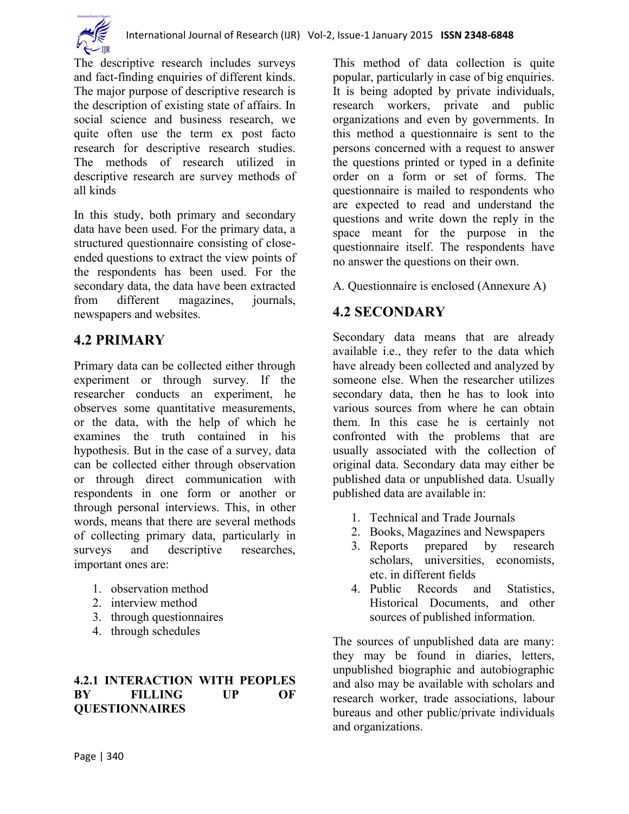

The descriptive research includes surveys and fact-finding enquiries of different kinds. The major purpose of descriptive research is the description of existing state of affairs. In social science and business research, we quite often use the term ex post facto research for descriptive research studies. The methods of research utilized in descriptive research are survey methods of all kinds

In this study, both primary and secondary data have been used. For the primary data, a structured questionnaire consisting of closeended questions to extract the view points of the respondents has been used. For the secondary data, the data have been extracted from different magazines, journals, newspapers and websites.

# **4.2 PRIMARY**

Primary data can be collected either through experiment or through survey. If the researcher conducts an experiment, he observes some quantitative measurements, or the data, with the help of which he examines the truth contained in his hypothesis. But in the case of a survey, data can be collected either through observation or through direct communication with respondents in one form or another or through personal interviews. This, in other words, means that there are several methods of collecting primary data, particularly in surveys and descriptive researches, important ones are:

- 1. observation method
- 2. interview method
- 3. through questionnaires
- 4. through schedules

#### **4.2.1 INTERACTION WITH PEOPLES BY FILLING UP OF QUESTIONNAIRES**

This method of data collection is quite popular, particularly in case of big enquiries. It is being adopted by private individuals, research workers, private and public organizations and even by governments. In this method a questionnaire is sent to the persons concerned with a request to answer the questions printed or typed in a definite order on a form or set of forms. The questionnaire is mailed to respondents who are expected to read and understand the questions and write down the reply in the space meant for the purpose in the questionnaire itself. The respondents have no answer the questions on their own.

A. Questionnaire is enclosed (Annexure A)

# **4.2 SECONDARY**

Secondary data means that are already available i.e., they refer to the data which have already been collected and analyzed by someone else. When the researcher utilizes secondary data, then he has to look into various sources from where he can obtain them. In this case he is certainly not confronted with the problems that are usually associated with the collection of original data. Secondary data may either be published data or unpublished data. Usually published data are available in:

- 1. Technical and Trade Journals
- 2. Books, Magazines and Newspapers
- 3. Reports prepared by research scholars, universities, economists, etc. in different fields
- 4. Public Records and Statistics, Historical Documents, and other sources of published information.

The sources of unpublished data are many: they may be found in diaries, letters, unpublished biographic and autobiographic and also may be available with scholars and research worker, trade associations, labour bureaus and other public/private individuals and organizations.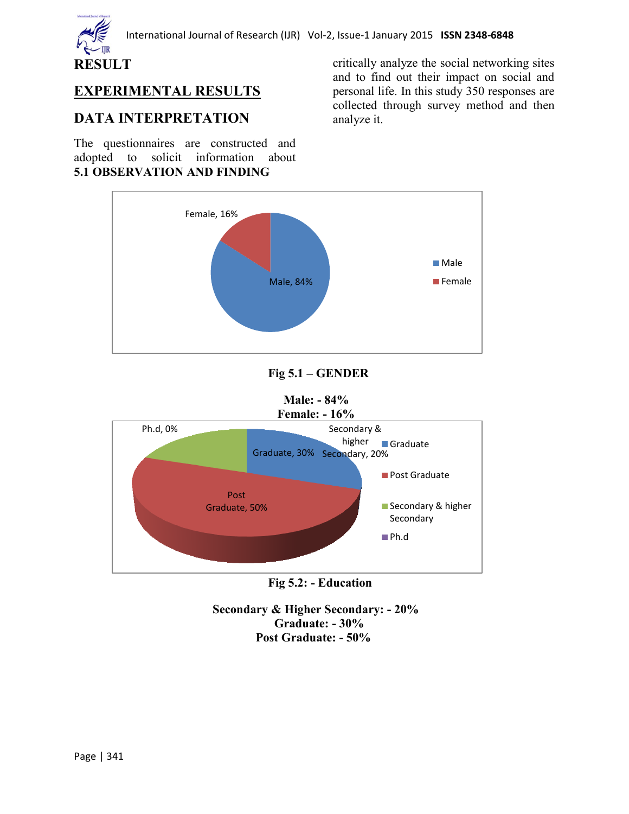

# **EXPERIMENTAL RESULTS**

## **DATA INTERPRETATION**

The questionnaires are constructed and adopted to solicit information about **5.1 OBSERVATION AND FINDING**

critically analyze the social networking sites and to find out their impact on social and personal life. In this study 350 responses are collected through survey method and then analyze it.



### **Fig 5.1 – GENDER**

#### **Male: - 84% Female: - 16%**



#### **Fig 5.2: - Education**

 **Secondary & Higher Secondary: - 20% Graduate: - 30% Post Graduate: - 50%**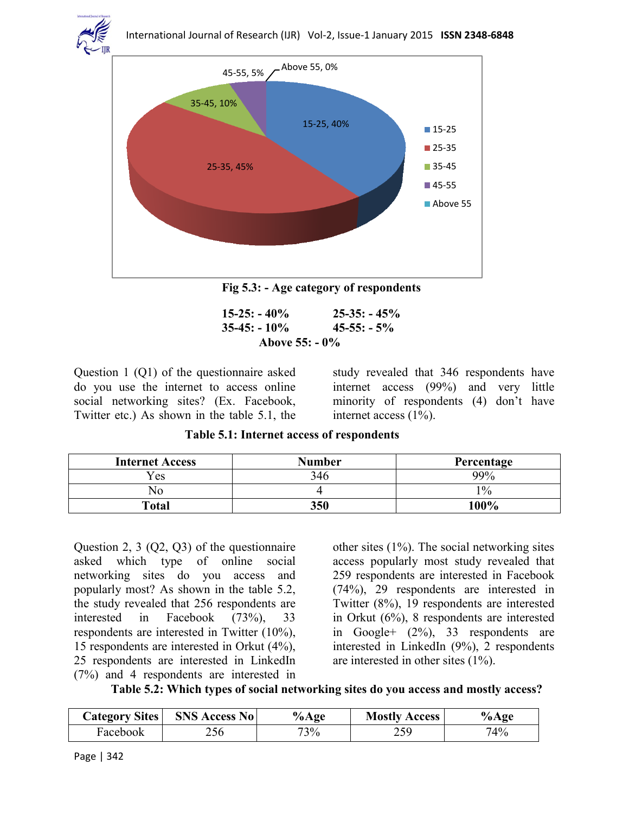

**Fig 5.3: - Age category of respondents**

| $15-25: -40\%$   | $25 - 35: -45\%$ |  |  |  |
|------------------|------------------|--|--|--|
| $35-45: -10\%$   | $45 - 55: -5\%$  |  |  |  |
| Above $55: -0\%$ |                  |  |  |  |

Question 1 (Q1) of the questionnaire asked do you use the internet to access online social networking sites? (Ex. Facebook, Twitter etc.) As shown in the table 5.1, the

study revealed that 346 respondents have internet access (99%) and very little minority of respondents (4) don't have internet access (1%).

**Table 5.1: Internet access of respondents**

| <b>Internet Access</b> | <b>Number</b> | Percentage |
|------------------------|---------------|------------|
| Yes                    | 346           | 99%        |
| Nc                     |               | 10/0       |
| Total                  | 350           | 100%       |

Question 2, 3 (Q2, Q3) of the questionnaire asked which type of online social networking sites do you access and popularly most? As shown in the table 5.2, the study revealed that 256 respondents are interested in Facebook (73%), 33 respondents are interested in Twitter (10%), 15 respondents are interested in Orkut (4%), 25 respondents are interested in LinkedIn (7%) and 4 respondents are interested in other sites (1%). The social networking sites access popularly most study revealed that 259 respondents are interested in Facebook (74%), 29 respondents are interested in Twitter (8%), 19 respondents are interested in Orkut (6%), 8 respondents are interested in Google+ (2%), 33 respondents are interested in LinkedIn (9%), 2 respondents are interested in other sites (1%).

|  |  |  |  |  | Table 5.2: Which types of social networking sites do you access and mostly access? |
|--|--|--|--|--|------------------------------------------------------------------------------------|
|--|--|--|--|--|------------------------------------------------------------------------------------|

| <b>Category Sites</b> | <b>SNS Access No</b> | $%$ Age | <b>Mostly Access</b> | %Age |
|-----------------------|----------------------|---------|----------------------|------|
| Facebook              | 256                  | 73%     | 75Q                  | 74%  |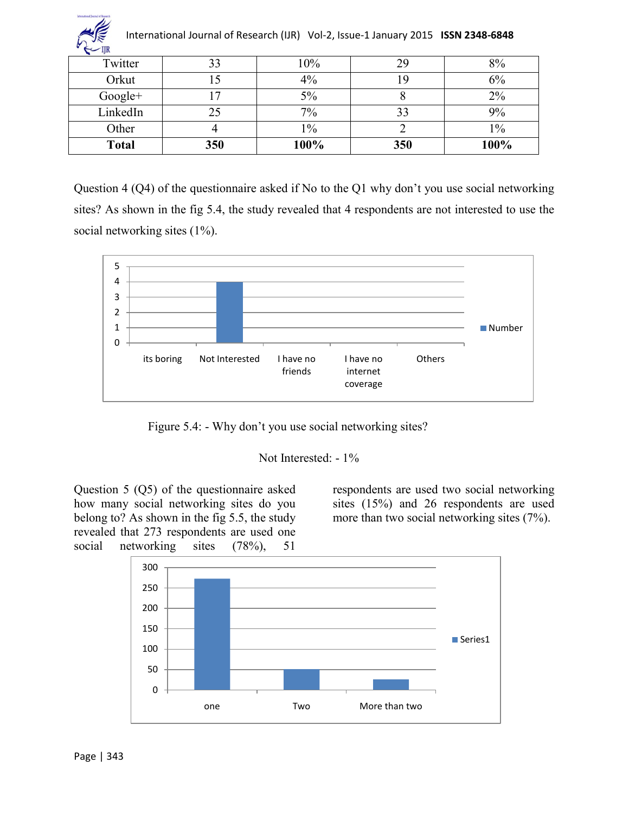| International Journal of Research (IJR) Vol-2, Issue-1 January 2015 ISSN 2348-6848 |     |       |     |       |  |  |
|------------------------------------------------------------------------------------|-----|-------|-----|-------|--|--|
| Twitter                                                                            | 33  | 10%   | 29  | 8%    |  |  |
| Orkut                                                                              |     | 4%    | 19  | 6%    |  |  |
| $Google+$                                                                          |     | 5%    |     | $2\%$ |  |  |
| LinkedIn                                                                           | 25  | 7%    | 33  | 9%    |  |  |
| Other                                                                              |     | $1\%$ |     | $1\%$ |  |  |
| <b>Total</b>                                                                       | 350 | 100%  | 350 | 100%  |  |  |

Question 4 (Q4) of the questionnaire asked if No to the Q1 why don't you use social networking sites? As shown in the fig 5.4, the study revealed that 4 respondents are not interested to use the social networking sites (1%).



Figure 5.4: - Why don't you use social networking sites?

Not Interested: - 1%

Question 5 (Q5) of the questionnaire asked how many social networking sites do you belong to? As shown in the fig 5.5, the study revealed that 273 respondents are used one social networking sites (78%), 51

respondents are used two social networking sites (15%) and 26 respondents are used more than two social networking sites (7%).



 $\mathscr{L}$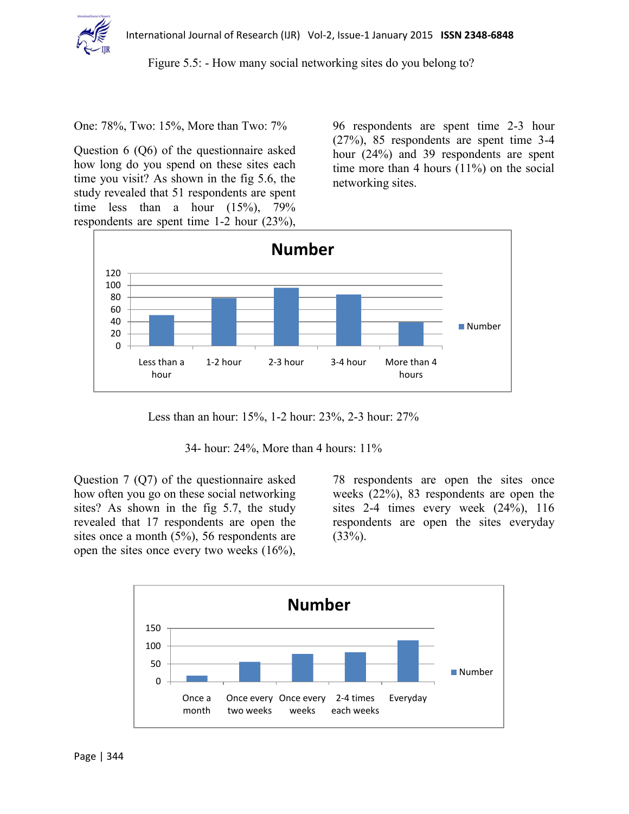

Figure 5.5: - How many social networking sites do you belong to?

One: 78%, Two: 15%, More than Two: 7%

Question 6 (Q6) of the questionnaire asked how long do you spend on these sites each time you visit? As shown in the fig 5.6, the study revealed that 51 respondents are spent time less than a hour  $(15\%)$ , 79% respondents are spent time 1-2 hour (23%),

96 respondents are spent time 2-3 hour (27%), 85 respondents are spent time 3-4 hour (24%) and 39 respondents are spent time more than 4 hours (11%) on the social networking sites.



Less than an hour: 15%, 1-2 hour: 23%, 2-3 hour: 27%

34- hour: 24%, More than 4 hours: 11%

Question 7 (Q7) of the questionnaire asked how often you go on these social networking sites? As shown in the fig 5.7, the study revealed that 17 respondents are open the sites once a month (5%), 56 respondents are open the sites once every two weeks (16%),

78 respondents are open the sites once weeks (22%), 83 respondents are open the sites 2-4 times every week  $(24\%)$ , 116 respondents are open the sites everyday  $(33%)$ .

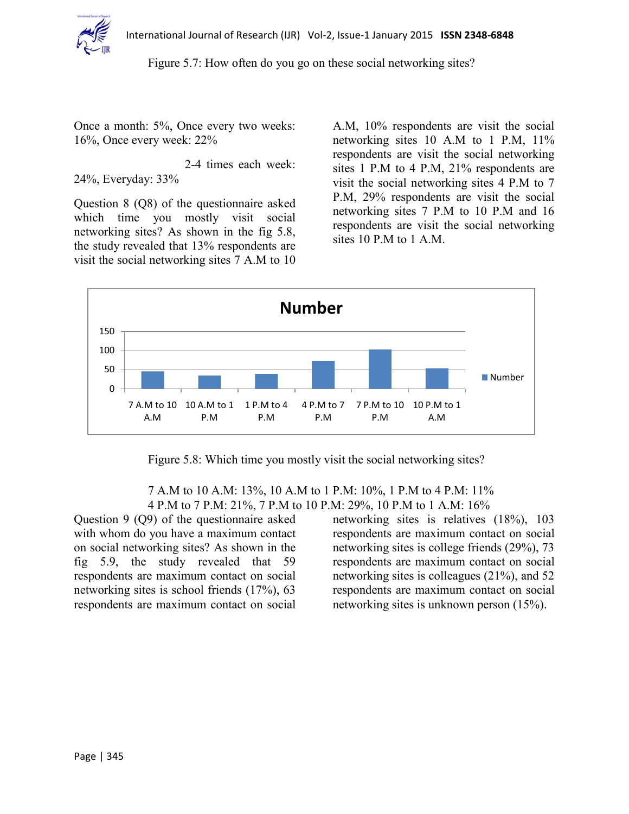

Figure 5.7: How often do you go on these social networking sites?

Once a month: 5%, Once every two weeks: 16%, Once every week: 22%

2-4 times each week: 24%, Everyday: 33%

Question 8 (Q8) of the questionnaire asked which time you mostly visit social networking sites? As shown in the fig 5.8, the study revealed that 13% respondents are visit the social networking sites 7 A.M to 10

A.M, 10% respondents are visit the social networking sites 10 A.M to 1 P.M, 11% respondents are visit the social networking sites 1 P.M to 4 P.M, 21% respondents are visit the social networking sites 4 P.M to 7 P.M, 29% respondents are visit the social networking sites 7 P.M to 10 P.M and 16 respondents are visit the social networking sites 10 P.M to 1 A.M.



Figure 5.8: Which time you mostly visit the social networking sites?

 7 A.M to 10 A.M: 13%, 10 A.M to 1 P.M: 10%, 1 P.M to 4 P.M: 11% 4 P.M to 7 P.M: 21%, 7 P.M to 10 P.M: 29%, 10 P.M to 1 A.M: 16%

Question 9 (Q9) of the questionnaire asked with whom do you have a maximum contact on social networking sites? As shown in the fig 5.9, the study revealed that 59 respondents are maximum contact on social networking sites is school friends (17%), 63 respondents are maximum contact on social networking sites is relatives (18%), 103 respondents are maximum contact on social networking sites is college friends (29%), 73 respondents are maximum contact on social networking sites is colleagues (21%), and 52 respondents are maximum contact on social networking sites is unknown person (15%).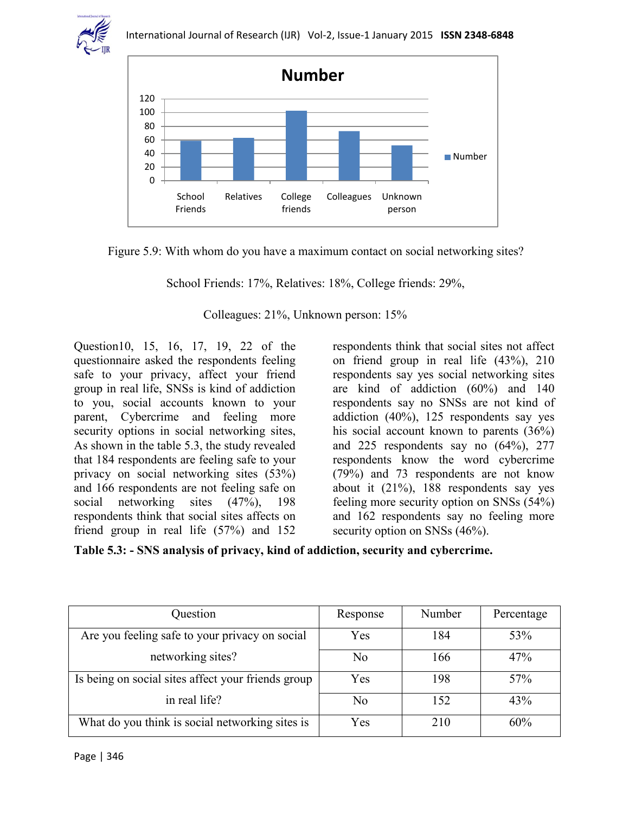



Figure 5.9: With whom do you have a maximum contact on social networking sites?

School Friends: 17%, Relatives: 18%, College friends: 29%,

Colleagues: 21%, Unknown person: 15%

Question10, 15, 16, 17, 19, 22 of the questionnaire asked the respondents feeling safe to your privacy, affect your friend group in real life, SNSs is kind of addiction to you, social accounts known to your parent, Cybercrime and feeling more security options in social networking sites, As shown in the table 5.3, the study revealed that 184 respondents are feeling safe to your privacy on social networking sites (53%) and 166 respondents are not feeling safe on social networking sites (47%), 198 respondents think that social sites affects on friend group in real life (57%) and 152

respondents think that social sites not affect on friend group in real life (43%), 210 respondents say yes social networking sites are kind of addiction (60%) and 140 respondents say no SNSs are not kind of addiction (40%), 125 respondents say yes his social account known to parents (36%) and 225 respondents say no  $(64\%)$ , 277 respondents know the word cybercrime (79%) and 73 respondents are not know about it (21%), 188 respondents say yes feeling more security option on SNSs (54%) and 162 respondents say no feeling more security option on SNSs  $(46%)$ .

**Table 5.3: - SNS analysis of privacy, kind of addiction, security and cybercrime.**

| Question                                           | Response       | Number | Percentage |
|----------------------------------------------------|----------------|--------|------------|
| Are you feeling safe to your privacy on social     | Yes            | 184    | 53%        |
| networking sites?                                  | N <sub>0</sub> | 166    | 47%        |
| Is being on social sites affect your friends group | Yes            | 198    | 57%        |
| in real life?                                      | N <sub>0</sub> | 152    | 43%        |
| What do you think is social networking sites is    | Yes            | 210    | 60%        |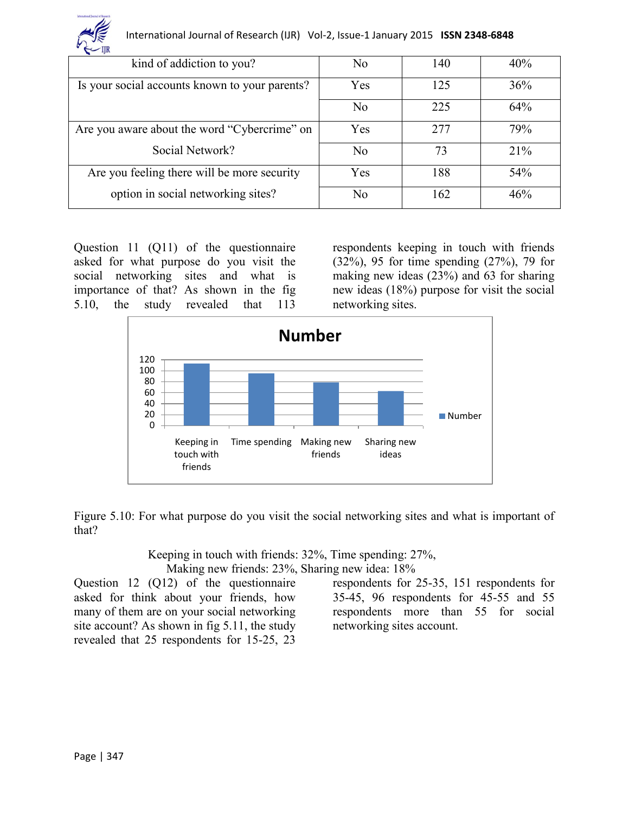

| $-$ y <sub>n</sub>                             |                |     |     |
|------------------------------------------------|----------------|-----|-----|
| kind of addiction to you?                      | N <sub>0</sub> | 140 | 40% |
| Is your social accounts known to your parents? | Yes            | 125 | 36% |
|                                                | N <sub>0</sub> | 225 | 64% |
| Are you aware about the word "Cybercrime" on   | Yes            | 277 | 79% |
| Social Network?                                | N <sub>0</sub> | 73  | 21% |
| Are you feeling there will be more security    | Yes            | 188 | 54% |
| option in social networking sites?             | N <sub>0</sub> | 162 | 46% |

Question 11 (Q11) of the questionnaire asked for what purpose do you visit the social networking sites and what is importance of that? As shown in the fig 5.10, the study revealed that 113

respondents keeping in touch with friends (32%), 95 for time spending (27%), 79 for making new ideas (23%) and 63 for sharing new ideas (18%) purpose for visit the social networking sites.



Figure 5.10: For what purpose do you visit the social networking sites and what is important of that?

> Keeping in touch with friends: 32%, Time spending: 27%, Making new friends: 23%, Sharing new idea: 18%

Question 12 (Q12) of the questionnaire asked for think about your friends, how many of them are on your social networking site account? As shown in fig 5.11, the study revealed that 25 respondents for 15-25, 23

respondents for 25-35, 151 respondents for 35-45, 96 respondents for 45-55 and 55 respondents more than 55 for social networking sites account.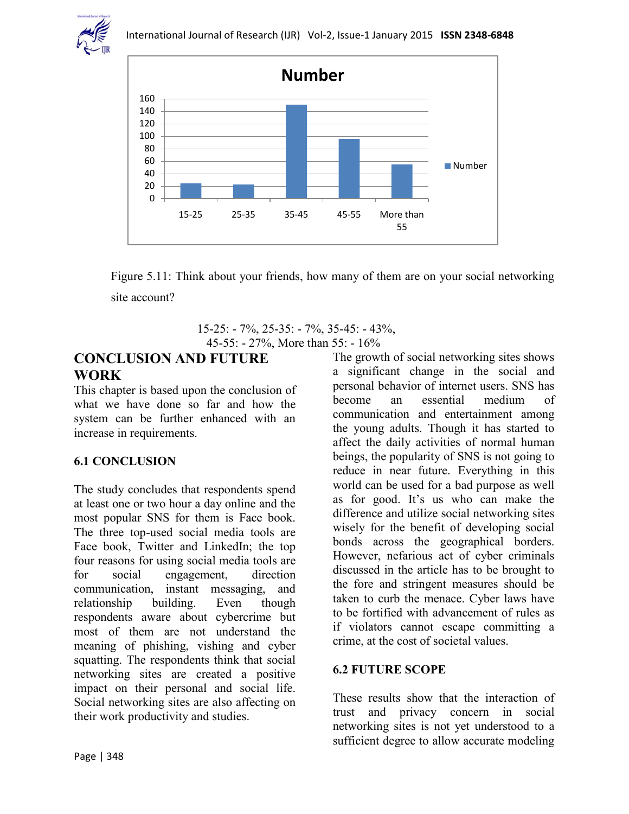



Figure 5.11: Think about your friends, how many of them are on your social networking site account?

 15-25: - 7%, 25-35: - 7%, 35-45: - 43%, 45-55: - 27%, More than 55: - 16%

### **CONCLUSION AND FUTURE WORK**

This chapter is based upon the conclusion of what we have done so far and how the system can be further enhanced with an increase in requirements.

#### **6.1 CONCLUSION**

The study concludes that respondents spend at least one or two hour a day online and the most popular SNS for them is Face book. The three top-used social media tools are Face book, Twitter and LinkedIn; the top four reasons for using social media tools are for social engagement, direction communication, instant messaging, and relationship building. Even though respondents aware about cybercrime but most of them are not understand the meaning of phishing, vishing and cyber squatting. The respondents think that social networking sites are created a positive impact on their personal and social life. Social networking sites are also affecting on their work productivity and studies.

The growth of social networking sites shows a significant change in the social and personal behavior of internet users. SNS has become an essential medium of communication and entertainment among the young adults. Though it has started to affect the daily activities of normal human beings, the popularity of SNS is not going to reduce in near future. Everything in this world can be used for a bad purpose as well as for good. It's us who can make the difference and utilize social networking sites wisely for the benefit of developing social bonds across the geographical borders. However, nefarious act of cyber criminals discussed in the article has to be brought to the fore and stringent measures should be taken to curb the menace. Cyber laws have to be fortified with advancement of rules as if violators cannot escape committing a crime, at the cost of societal values.

#### **6.2 FUTURE SCOPE**

These results show that the interaction of trust and privacy concern in social networking sites is not yet understood to a sufficient degree to allow accurate modeling